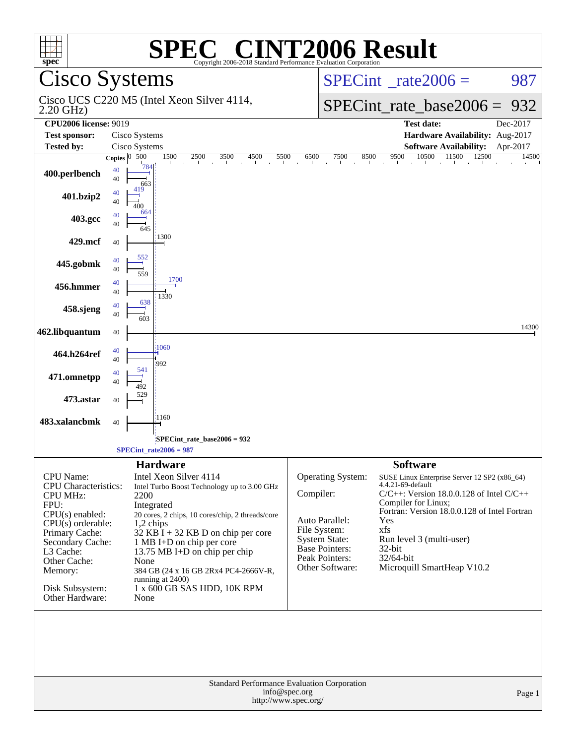| <b>CINT2006 Result</b><br>spec <sup>®</sup><br>Copyright 2006-2018 Standard Performance Evaluation Corporation |                                                                                                    |                                  |                                                                    |  |  |  |  |
|----------------------------------------------------------------------------------------------------------------|----------------------------------------------------------------------------------------------------|----------------------------------|--------------------------------------------------------------------|--|--|--|--|
|                                                                                                                | Cisco Systems                                                                                      |                                  | $SPECint^{\circ}$ rate $2006 =$<br>987                             |  |  |  |  |
| $2.20$ GHz)                                                                                                    | Cisco UCS C220 M5 (Intel Xeon Silver 4114,                                                         |                                  | $SPECint_rate_base2006 =$<br>932                                   |  |  |  |  |
| <b>CPU2006</b> license: 9019                                                                                   |                                                                                                    |                                  | <b>Test date:</b><br>Dec-2017                                      |  |  |  |  |
| <b>Test sponsor:</b>                                                                                           | Cisco Systems                                                                                      |                                  | Hardware Availability: Aug-2017                                    |  |  |  |  |
| <b>Tested by:</b>                                                                                              | Cisco Systems                                                                                      |                                  | <b>Software Availability:</b><br>Apr-2017                          |  |  |  |  |
| 400.perlbench                                                                                                  | Copies $\overline{0.500}$<br>1500<br>2500<br>3500<br>4500<br>5500<br>784<br>40<br>40<br>663<br>419 | 6500<br>7500<br>8500             | $10500$ $11500$ $12500$<br>9500<br>14500<br>$\blacksquare$         |  |  |  |  |
| 401.bzip2                                                                                                      | 40<br>40<br>400                                                                                    |                                  |                                                                    |  |  |  |  |
| 403.gcc                                                                                                        | 664<br>40<br>40<br>645                                                                             |                                  |                                                                    |  |  |  |  |
| 429.mcf                                                                                                        | 1300<br>40                                                                                         |                                  |                                                                    |  |  |  |  |
| 445.gobmk                                                                                                      | 552<br>40<br>40<br>559                                                                             |                                  |                                                                    |  |  |  |  |
| 456.hmmer                                                                                                      | 1700<br>40<br>40<br>1330                                                                           |                                  |                                                                    |  |  |  |  |
| 458.sjeng                                                                                                      | 638<br>40<br>40<br>603                                                                             |                                  |                                                                    |  |  |  |  |
| 462.libquantum                                                                                                 | 40                                                                                                 |                                  | 14300                                                              |  |  |  |  |
| 464.h264ref                                                                                                    | 1060<br>40<br>40<br>992                                                                            |                                  |                                                                    |  |  |  |  |
| 471.omnetpp                                                                                                    | 541<br>40<br>40<br>492                                                                             |                                  |                                                                    |  |  |  |  |
| 473.astar                                                                                                      | 40                                                                                                 |                                  |                                                                    |  |  |  |  |
| 483.xalancbmk                                                                                                  | 1160<br>40                                                                                         |                                  |                                                                    |  |  |  |  |
| SPECint_rate_base2006 = 932<br>$SPECint_rate2006 = 987$                                                        |                                                                                                    |                                  |                                                                    |  |  |  |  |
|                                                                                                                | <b>Hardware</b>                                                                                    |                                  | <b>Software</b>                                                    |  |  |  |  |
| <b>CPU</b> Name:                                                                                               | Intel Xeon Silver 4114                                                                             | Operating System:                | SUSE Linux Enterprise Server 12 SP2 (x86_64)                       |  |  |  |  |
| <b>CPU</b> Characteristics:                                                                                    | Intel Turbo Boost Technology up to 3.00 GHz                                                        | Compiler:                        | 4.4.21-69-default<br>$C/C++$ : Version 18.0.0.128 of Intel $C/C++$ |  |  |  |  |
| <b>CPU MHz:</b><br>FPU:                                                                                        | 2200<br>Integrated                                                                                 |                                  | Compiler for Linux;                                                |  |  |  |  |
| $CPU(s)$ enabled:                                                                                              | 20 cores, 2 chips, 10 cores/chip, 2 threads/core                                                   | Auto Parallel:                   | Fortran: Version 18.0.0.128 of Intel Fortran<br>Yes                |  |  |  |  |
| $CPU(s)$ orderable:<br>Primary Cache:                                                                          | $1,2$ chips<br>$32$ KB $\overline{1}$ + 32 KB D on chip per core                                   | File System:                     | xfs                                                                |  |  |  |  |
| Secondary Cache:                                                                                               | 1 MB I+D on chip per core                                                                          | <b>System State:</b>             | Run level 3 (multi-user)                                           |  |  |  |  |
| L3 Cache:                                                                                                      | 13.75 MB I+D on chip per chip                                                                      | Base Pointers:<br>Peak Pointers: | 32-bit<br>32/64-bit                                                |  |  |  |  |
| Other Cache:<br>Memory:                                                                                        | None<br>384 GB (24 x 16 GB 2Rx4 PC4-2666V-R,                                                       | Other Software:                  | Microquill SmartHeap V10.2                                         |  |  |  |  |
|                                                                                                                | running at 2400)                                                                                   |                                  |                                                                    |  |  |  |  |
| Disk Subsystem:<br>Other Hardware:                                                                             | 1 x 600 GB SAS HDD, 10K RPM<br>None                                                                |                                  |                                                                    |  |  |  |  |
|                                                                                                                |                                                                                                    |                                  |                                                                    |  |  |  |  |
| Standard Performance Evaluation Corporation<br>info@spec.org<br>Page 1<br>http://www.spec.org/                 |                                                                                                    |                                  |                                                                    |  |  |  |  |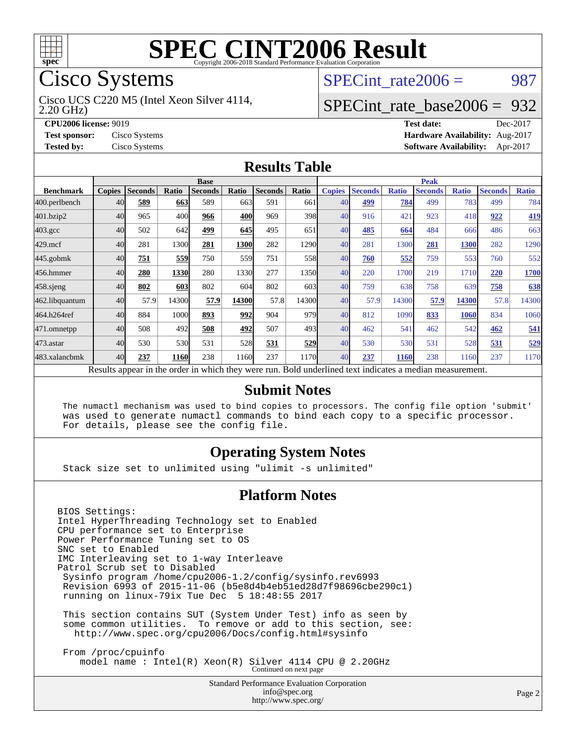

## Cisco Systems

2.20 GHz) Cisco UCS C220 M5 (Intel Xeon Silver 4114, SPECint rate $2006 = 987$ 

### [SPECint\\_rate\\_base2006 =](http://www.spec.org/auto/cpu2006/Docs/result-fields.html#SPECintratebase2006) 932

**[CPU2006 license:](http://www.spec.org/auto/cpu2006/Docs/result-fields.html#CPU2006license)** 9019 **[Test date:](http://www.spec.org/auto/cpu2006/Docs/result-fields.html#Testdate)** Dec-2017 **[Test sponsor:](http://www.spec.org/auto/cpu2006/Docs/result-fields.html#Testsponsor)** Cisco Systems **[Hardware Availability:](http://www.spec.org/auto/cpu2006/Docs/result-fields.html#HardwareAvailability)** Aug-2017 **[Tested by:](http://www.spec.org/auto/cpu2006/Docs/result-fields.html#Testedby)** Cisco Systems **[Software Availability:](http://www.spec.org/auto/cpu2006/Docs/result-fields.html#SoftwareAvailability)** Apr-2017

#### **[Results Table](http://www.spec.org/auto/cpu2006/Docs/result-fields.html#ResultsTable)**

|                                                                                                          | <b>Base</b>   |                |       |                |       |                | <b>Peak</b> |               |                |              |                |              |                |              |
|----------------------------------------------------------------------------------------------------------|---------------|----------------|-------|----------------|-------|----------------|-------------|---------------|----------------|--------------|----------------|--------------|----------------|--------------|
| <b>Benchmark</b>                                                                                         | <b>Copies</b> | <b>Seconds</b> | Ratio | <b>Seconds</b> | Ratio | <b>Seconds</b> | Ratio       | <b>Copies</b> | <b>Seconds</b> | <b>Ratio</b> | <b>Seconds</b> | <b>Ratio</b> | <b>Seconds</b> | <b>Ratio</b> |
| 400.perlbench                                                                                            | 40            | 589            | 663   | 589            | 663   | 591            | 661         | 40            | 499            | 784          | 499            | 783          | 499            | 784          |
| 401.bzip2                                                                                                | 40            | 965            | 400   | 966            | 400   | 969            | 398         | 40            | 916            | 421          | 923            | 418          | 922            | <u>419</u>   |
| $403.\mathrm{gcc}$                                                                                       | 40            | 502            | 642   | 499            | 645   | 495            | 651         | 40            | 485            | 664          | 484            | 666          | 486            | 663          |
| $429$ .mcf                                                                                               | 40            | 281            | 1300  | 281            | 1300  | 282            | 1290        | 40            | 281            | 1300         | 281            | 1300         | 282            | 1290         |
| $445$ .gobmk                                                                                             | 40            | <u>751</u>     | 559   | 750            | 559   | 751            | 558         | 40            | 760            | 552          | 759            | 553          | 760            | 552          |
| 456.hmmer                                                                                                | 40            | 280            | 1330  | 280            | 1330  | 277            | 1350        | 40            | 220            | 1700         | 219            | 1710         | 220            | 1700         |
| $458$ .sjeng                                                                                             | 40            | 802            | 603   | 802            | 604   | 802            | 603         | 40            | 759            | 638          | 758            | 639          | 758            | 638          |
| 462.libquantum                                                                                           | 40            | 57.9           | 14300 | 57.9           | 14300 | 57.8           | 14300       | 40            | 57.9           | 14300        | 57.9           | 14300        | 57.8           | 14300        |
| 464.h264ref                                                                                              | 40            | 884            | 1000  | 893            | 992   | 904            | 979         | 40            | 812            | 1090         | 833            | 1060         | 834            | 1060         |
| 471.omnetpp                                                                                              | 40            | 508            | 492   | 508            | 492   | 507            | 493         | 40            | 462            | 541          | 462            | 542          | 462            | 541          |
| 473.astar                                                                                                | 40            | 530            | 530   | 531            | 528   | 531            | 529         | 40            | 530            | 530          | 531            | 528          | 531            | 529          |
| 483.xalancbmk                                                                                            | 40            | 237            | 1160  | 238            | 1160  | 237            | 1170        | 40            | 237            | 1160         | 238            | 1160         | 237            | 1170         |
| Results appear in the order in which they were run. Bold underlined text indicates a median measurement. |               |                |       |                |       |                |             |               |                |              |                |              |                |              |

#### **[Submit Notes](http://www.spec.org/auto/cpu2006/Docs/result-fields.html#SubmitNotes)**

 The numactl mechanism was used to bind copies to processors. The config file option 'submit' was used to generate numactl commands to bind each copy to a specific processor. For details, please see the config file.

#### **[Operating System Notes](http://www.spec.org/auto/cpu2006/Docs/result-fields.html#OperatingSystemNotes)**

Stack size set to unlimited using "ulimit -s unlimited"

#### **[Platform Notes](http://www.spec.org/auto/cpu2006/Docs/result-fields.html#PlatformNotes)**

BIOS Settings: Intel HyperThreading Technology set to Enabled CPU performance set to Enterprise Power Performance Tuning set to OS SNC set to Enabled IMC Interleaving set to 1-way Interleave Patrol Scrub set to Disabled Sysinfo program /home/cpu2006-1.2/config/sysinfo.rev6993 Revision 6993 of 2015-11-06 (b5e8d4b4eb51ed28d7f98696cbe290c1) running on linux-79ix Tue Dec 5 18:48:55 2017 This section contains SUT (System Under Test) info as seen by some common utilities. To remove or add to this section, see: <http://www.spec.org/cpu2006/Docs/config.html#sysinfo> From /proc/cpuinfo

model name : Intel(R) Xeon(R) Silver 4114 CPU @ 2.20GHz Continued on next page

Standard Performance Evaluation Corporation [info@spec.org](mailto:info@spec.org) <http://www.spec.org/>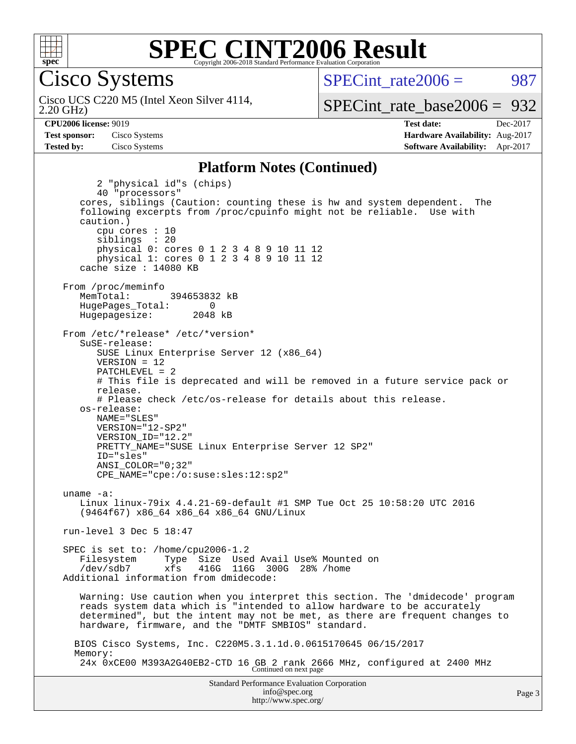

Cisco Systems

2.20 GHz) Cisco UCS C220 M5 (Intel Xeon Silver 4114,  $SPECint rate2006 = 987$ 

[SPECint\\_rate\\_base2006 =](http://www.spec.org/auto/cpu2006/Docs/result-fields.html#SPECintratebase2006) 932

**[CPU2006 license:](http://www.spec.org/auto/cpu2006/Docs/result-fields.html#CPU2006license)** 9019 **[Test date:](http://www.spec.org/auto/cpu2006/Docs/result-fields.html#Testdate)** Dec-2017 **[Test sponsor:](http://www.spec.org/auto/cpu2006/Docs/result-fields.html#Testsponsor)** Cisco Systems **[Hardware Availability:](http://www.spec.org/auto/cpu2006/Docs/result-fields.html#HardwareAvailability)** Aug-2017 **[Tested by:](http://www.spec.org/auto/cpu2006/Docs/result-fields.html#Testedby)** Cisco Systems **[Software Availability:](http://www.spec.org/auto/cpu2006/Docs/result-fields.html#SoftwareAvailability)** Apr-2017

#### **[Platform Notes \(Continued\)](http://www.spec.org/auto/cpu2006/Docs/result-fields.html#PlatformNotes)**

Standard Performance Evaluation Corporation [info@spec.org](mailto:info@spec.org) 2 "physical id"s (chips) 40 "processors" cores, siblings (Caution: counting these is hw and system dependent. The following excerpts from /proc/cpuinfo might not be reliable. Use with caution.) cpu cores : 10 siblings : 20 physical 0: cores 0 1 2 3 4 8 9 10 11 12 physical 1: cores 0 1 2 3 4 8 9 10 11 12 cache size : 14080 KB From /proc/meminfo MemTotal: 394653832 kB HugePages\_Total: 0<br>Hugepagesize: 2048 kB Hugepagesize: From /etc/\*release\* /etc/\*version\* SuSE-release: SUSE Linux Enterprise Server 12 (x86\_64) VERSION = 12 PATCHLEVEL = 2 # This file is deprecated and will be removed in a future service pack or release. # Please check /etc/os-release for details about this release. os-release: NAME="SLES" VERSION="12-SP2" VERSION\_ID="12.2" PRETTY\_NAME="SUSE Linux Enterprise Server 12 SP2" ID="sles" ANSI\_COLOR="0;32" CPE\_NAME="cpe:/o:suse:sles:12:sp2" uname -a: Linux linux-79ix 4.4.21-69-default #1 SMP Tue Oct 25 10:58:20 UTC 2016 (9464f67) x86\_64 x86\_64 x86\_64 GNU/Linux run-level 3 Dec 5 18:47 SPEC is set to: /home/cpu2006-1.2 Filesystem Type Size Used Avail Use% Mounted on /dev/sdb7 xfs 416G 116G 300G 28% /home Additional information from dmidecode: Warning: Use caution when you interpret this section. The 'dmidecode' program reads system data which is "intended to allow hardware to be accurately determined", but the intent may not be met, as there are frequent changes to hardware, firmware, and the "DMTF SMBIOS" standard. BIOS Cisco Systems, Inc. C220M5.3.1.1d.0.0615170645 06/15/2017 Memory: 24x 0xCE00 M393A2G40EB2-CTD 16 GB 2 rank 2666 MHz, configured at 2400 MHz Continued on next page

<http://www.spec.org/>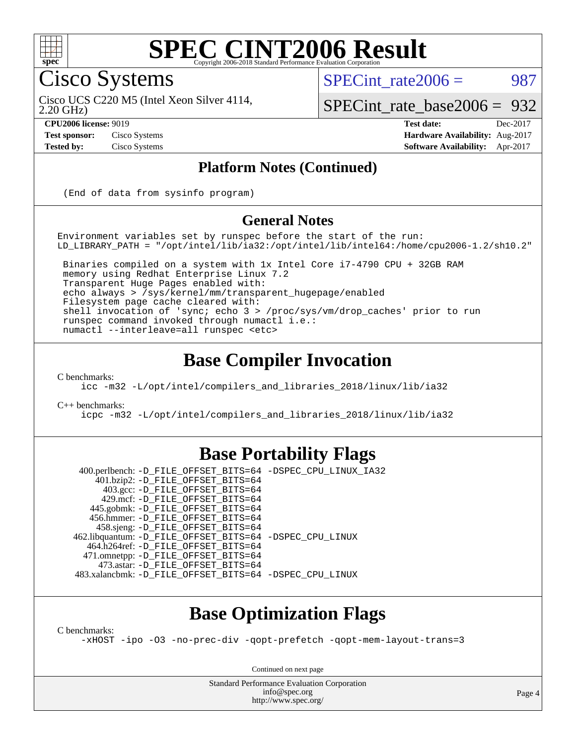

#### **[SPEC CINT2006 Result](http://www.spec.org/auto/cpu2006/Docs/result-fields.html#SPECCINT2006Result)** Copyright 2006-2018 Standard Performance Evaluation C

Cisco Systems

SPECint rate $2006 = 987$ 

2.20 GHz) Cisco UCS C220 M5 (Intel Xeon Silver 4114,

[SPECint\\_rate\\_base2006 =](http://www.spec.org/auto/cpu2006/Docs/result-fields.html#SPECintratebase2006) 932

**[CPU2006 license:](http://www.spec.org/auto/cpu2006/Docs/result-fields.html#CPU2006license)** 9019 **[Test date:](http://www.spec.org/auto/cpu2006/Docs/result-fields.html#Testdate)** Dec-2017 **[Test sponsor:](http://www.spec.org/auto/cpu2006/Docs/result-fields.html#Testsponsor)** Cisco Systems **[Hardware Availability:](http://www.spec.org/auto/cpu2006/Docs/result-fields.html#HardwareAvailability)** Aug-2017 **[Tested by:](http://www.spec.org/auto/cpu2006/Docs/result-fields.html#Testedby)** Cisco Systems **[Software Availability:](http://www.spec.org/auto/cpu2006/Docs/result-fields.html#SoftwareAvailability)** Apr-2017

#### **[Platform Notes \(Continued\)](http://www.spec.org/auto/cpu2006/Docs/result-fields.html#PlatformNotes)**

(End of data from sysinfo program)

#### **[General Notes](http://www.spec.org/auto/cpu2006/Docs/result-fields.html#GeneralNotes)**

Environment variables set by runspec before the start of the run: LD\_LIBRARY\_PATH = "/opt/intel/lib/ia32:/opt/intel/lib/intel64:/home/cpu2006-1.2/sh10.2"

 Binaries compiled on a system with 1x Intel Core i7-4790 CPU + 32GB RAM memory using Redhat Enterprise Linux 7.2 Transparent Huge Pages enabled with: echo always > /sys/kernel/mm/transparent\_hugepage/enabled Filesystem page cache cleared with: shell invocation of 'sync; echo 3 > /proc/sys/vm/drop\_caches' prior to run runspec command invoked through numactl i.e.: numactl --interleave=all runspec <etc>

### **[Base Compiler Invocation](http://www.spec.org/auto/cpu2006/Docs/result-fields.html#BaseCompilerInvocation)**

[C benchmarks](http://www.spec.org/auto/cpu2006/Docs/result-fields.html#Cbenchmarks):

[icc -m32 -L/opt/intel/compilers\\_and\\_libraries\\_2018/linux/lib/ia32](http://www.spec.org/cpu2006/results/res2017q4/cpu2006-20171211-51012.flags.html#user_CCbase_intel_icc_04f59596a08f358effe90d044cbb175f)

[C++ benchmarks:](http://www.spec.org/auto/cpu2006/Docs/result-fields.html#CXXbenchmarks)

[icpc -m32 -L/opt/intel/compilers\\_and\\_libraries\\_2018/linux/lib/ia32](http://www.spec.org/cpu2006/results/res2017q4/cpu2006-20171211-51012.flags.html#user_CXXbase_intel_icpc_6c160d62a51f1e5feef3a5e8eb2cd87e)

#### **[Base Portability Flags](http://www.spec.org/auto/cpu2006/Docs/result-fields.html#BasePortabilityFlags)**

 400.perlbench: [-D\\_FILE\\_OFFSET\\_BITS=64](http://www.spec.org/cpu2006/results/res2017q4/cpu2006-20171211-51012.flags.html#user_basePORTABILITY400_perlbench_file_offset_bits_64_438cf9856305ebd76870a2c6dc2689ab) [-DSPEC\\_CPU\\_LINUX\\_IA32](http://www.spec.org/cpu2006/results/res2017q4/cpu2006-20171211-51012.flags.html#b400.perlbench_baseCPORTABILITY_DSPEC_CPU_LINUX_IA32) 401.bzip2: [-D\\_FILE\\_OFFSET\\_BITS=64](http://www.spec.org/cpu2006/results/res2017q4/cpu2006-20171211-51012.flags.html#user_basePORTABILITY401_bzip2_file_offset_bits_64_438cf9856305ebd76870a2c6dc2689ab) 403.gcc: [-D\\_FILE\\_OFFSET\\_BITS=64](http://www.spec.org/cpu2006/results/res2017q4/cpu2006-20171211-51012.flags.html#user_basePORTABILITY403_gcc_file_offset_bits_64_438cf9856305ebd76870a2c6dc2689ab) 429.mcf: [-D\\_FILE\\_OFFSET\\_BITS=64](http://www.spec.org/cpu2006/results/res2017q4/cpu2006-20171211-51012.flags.html#user_basePORTABILITY429_mcf_file_offset_bits_64_438cf9856305ebd76870a2c6dc2689ab) 445.gobmk: [-D\\_FILE\\_OFFSET\\_BITS=64](http://www.spec.org/cpu2006/results/res2017q4/cpu2006-20171211-51012.flags.html#user_basePORTABILITY445_gobmk_file_offset_bits_64_438cf9856305ebd76870a2c6dc2689ab) 456.hmmer: [-D\\_FILE\\_OFFSET\\_BITS=64](http://www.spec.org/cpu2006/results/res2017q4/cpu2006-20171211-51012.flags.html#user_basePORTABILITY456_hmmer_file_offset_bits_64_438cf9856305ebd76870a2c6dc2689ab) 458.sjeng: [-D\\_FILE\\_OFFSET\\_BITS=64](http://www.spec.org/cpu2006/results/res2017q4/cpu2006-20171211-51012.flags.html#user_basePORTABILITY458_sjeng_file_offset_bits_64_438cf9856305ebd76870a2c6dc2689ab) 462.libquantum: [-D\\_FILE\\_OFFSET\\_BITS=64](http://www.spec.org/cpu2006/results/res2017q4/cpu2006-20171211-51012.flags.html#user_basePORTABILITY462_libquantum_file_offset_bits_64_438cf9856305ebd76870a2c6dc2689ab) [-DSPEC\\_CPU\\_LINUX](http://www.spec.org/cpu2006/results/res2017q4/cpu2006-20171211-51012.flags.html#b462.libquantum_baseCPORTABILITY_DSPEC_CPU_LINUX) 464.h264ref: [-D\\_FILE\\_OFFSET\\_BITS=64](http://www.spec.org/cpu2006/results/res2017q4/cpu2006-20171211-51012.flags.html#user_basePORTABILITY464_h264ref_file_offset_bits_64_438cf9856305ebd76870a2c6dc2689ab) 471.omnetpp: [-D\\_FILE\\_OFFSET\\_BITS=64](http://www.spec.org/cpu2006/results/res2017q4/cpu2006-20171211-51012.flags.html#user_basePORTABILITY471_omnetpp_file_offset_bits_64_438cf9856305ebd76870a2c6dc2689ab) 473.astar: [-D\\_FILE\\_OFFSET\\_BITS=64](http://www.spec.org/cpu2006/results/res2017q4/cpu2006-20171211-51012.flags.html#user_basePORTABILITY473_astar_file_offset_bits_64_438cf9856305ebd76870a2c6dc2689ab) 483.xalancbmk: [-D\\_FILE\\_OFFSET\\_BITS=64](http://www.spec.org/cpu2006/results/res2017q4/cpu2006-20171211-51012.flags.html#user_basePORTABILITY483_xalancbmk_file_offset_bits_64_438cf9856305ebd76870a2c6dc2689ab) [-DSPEC\\_CPU\\_LINUX](http://www.spec.org/cpu2006/results/res2017q4/cpu2006-20171211-51012.flags.html#b483.xalancbmk_baseCXXPORTABILITY_DSPEC_CPU_LINUX)

### **[Base Optimization Flags](http://www.spec.org/auto/cpu2006/Docs/result-fields.html#BaseOptimizationFlags)**

[C benchmarks](http://www.spec.org/auto/cpu2006/Docs/result-fields.html#Cbenchmarks):

[-xHOST](http://www.spec.org/cpu2006/results/res2017q4/cpu2006-20171211-51012.flags.html#user_CCbase_f-xHost_e62ac3e528d1159ebbc7507f5617393f) [-ipo](http://www.spec.org/cpu2006/results/res2017q4/cpu2006-20171211-51012.flags.html#user_CCbase_f-ipo) [-O3](http://www.spec.org/cpu2006/results/res2017q4/cpu2006-20171211-51012.flags.html#user_CCbase_f-O3) [-no-prec-div](http://www.spec.org/cpu2006/results/res2017q4/cpu2006-20171211-51012.flags.html#user_CCbase_f-no-prec-div) [-qopt-prefetch](http://www.spec.org/cpu2006/results/res2017q4/cpu2006-20171211-51012.flags.html#user_CCbase_f-qopt-prefetch) [-qopt-mem-layout-trans=3](http://www.spec.org/cpu2006/results/res2017q4/cpu2006-20171211-51012.flags.html#user_CCbase_f-qopt-mem-layout-trans_170f5be61cd2cedc9b54468c59262d5d)

Continued on next page

Standard Performance Evaluation Corporation [info@spec.org](mailto:info@spec.org) <http://www.spec.org/>

Page 4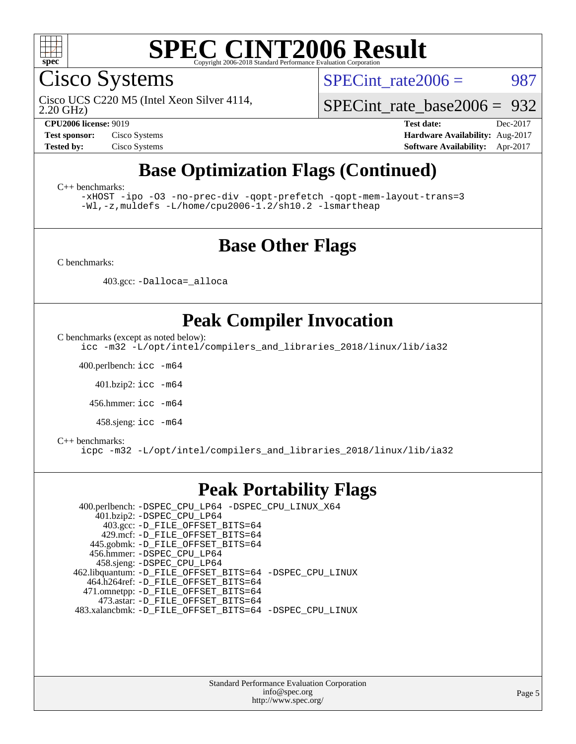

Cisco Systems

2.20 GHz) Cisco UCS C220 M5 (Intel Xeon Silver 4114, SPECint rate $2006 = 987$ 

[SPECint\\_rate\\_base2006 =](http://www.spec.org/auto/cpu2006/Docs/result-fields.html#SPECintratebase2006) 932

**[CPU2006 license:](http://www.spec.org/auto/cpu2006/Docs/result-fields.html#CPU2006license)** 9019 **[Test date:](http://www.spec.org/auto/cpu2006/Docs/result-fields.html#Testdate)** Dec-2017 **[Test sponsor:](http://www.spec.org/auto/cpu2006/Docs/result-fields.html#Testsponsor)** Cisco Systems **[Hardware Availability:](http://www.spec.org/auto/cpu2006/Docs/result-fields.html#HardwareAvailability)** Aug-2017 **[Tested by:](http://www.spec.org/auto/cpu2006/Docs/result-fields.html#Testedby)** Cisco Systems **[Software Availability:](http://www.spec.org/auto/cpu2006/Docs/result-fields.html#SoftwareAvailability)** Apr-2017

## **[Base Optimization Flags \(Continued\)](http://www.spec.org/auto/cpu2006/Docs/result-fields.html#BaseOptimizationFlags)**

[C++ benchmarks:](http://www.spec.org/auto/cpu2006/Docs/result-fields.html#CXXbenchmarks)

[-xHOST](http://www.spec.org/cpu2006/results/res2017q4/cpu2006-20171211-51012.flags.html#user_CXXbase_f-xHost_e62ac3e528d1159ebbc7507f5617393f) [-ipo](http://www.spec.org/cpu2006/results/res2017q4/cpu2006-20171211-51012.flags.html#user_CXXbase_f-ipo) [-O3](http://www.spec.org/cpu2006/results/res2017q4/cpu2006-20171211-51012.flags.html#user_CXXbase_f-O3) [-no-prec-div](http://www.spec.org/cpu2006/results/res2017q4/cpu2006-20171211-51012.flags.html#user_CXXbase_f-no-prec-div) [-qopt-prefetch](http://www.spec.org/cpu2006/results/res2017q4/cpu2006-20171211-51012.flags.html#user_CXXbase_f-qopt-prefetch) [-qopt-mem-layout-trans=3](http://www.spec.org/cpu2006/results/res2017q4/cpu2006-20171211-51012.flags.html#user_CXXbase_f-qopt-mem-layout-trans_170f5be61cd2cedc9b54468c59262d5d) [-Wl,-z,muldefs](http://www.spec.org/cpu2006/results/res2017q4/cpu2006-20171211-51012.flags.html#user_CXXbase_link_force_multiple1_74079c344b956b9658436fd1b6dd3a8a) [-L/home/cpu2006-1.2/sh10.2 -lsmartheap](http://www.spec.org/cpu2006/results/res2017q4/cpu2006-20171211-51012.flags.html#user_CXXbase_SmartHeap_5706a66a2f6a219cbb238ac92a73101d)

### **[Base Other Flags](http://www.spec.org/auto/cpu2006/Docs/result-fields.html#BaseOtherFlags)**

[C benchmarks](http://www.spec.org/auto/cpu2006/Docs/result-fields.html#Cbenchmarks):

403.gcc: [-Dalloca=\\_alloca](http://www.spec.org/cpu2006/results/res2017q4/cpu2006-20171211-51012.flags.html#b403.gcc_baseEXTRA_CFLAGS_Dalloca_be3056838c12de2578596ca5467af7f3)

### **[Peak Compiler Invocation](http://www.spec.org/auto/cpu2006/Docs/result-fields.html#PeakCompilerInvocation)**

[C benchmarks \(except as noted below\)](http://www.spec.org/auto/cpu2006/Docs/result-fields.html#Cbenchmarksexceptasnotedbelow):

[icc -m32 -L/opt/intel/compilers\\_and\\_libraries\\_2018/linux/lib/ia32](http://www.spec.org/cpu2006/results/res2017q4/cpu2006-20171211-51012.flags.html#user_CCpeak_intel_icc_04f59596a08f358effe90d044cbb175f)

400.perlbench: [icc -m64](http://www.spec.org/cpu2006/results/res2017q4/cpu2006-20171211-51012.flags.html#user_peakCCLD400_perlbench_intel_icc_64bit_bda6cc9af1fdbb0edc3795bac97ada53)

401.bzip2: [icc -m64](http://www.spec.org/cpu2006/results/res2017q4/cpu2006-20171211-51012.flags.html#user_peakCCLD401_bzip2_intel_icc_64bit_bda6cc9af1fdbb0edc3795bac97ada53)

456.hmmer: [icc -m64](http://www.spec.org/cpu2006/results/res2017q4/cpu2006-20171211-51012.flags.html#user_peakCCLD456_hmmer_intel_icc_64bit_bda6cc9af1fdbb0edc3795bac97ada53)

458.sjeng: [icc -m64](http://www.spec.org/cpu2006/results/res2017q4/cpu2006-20171211-51012.flags.html#user_peakCCLD458_sjeng_intel_icc_64bit_bda6cc9af1fdbb0edc3795bac97ada53)

#### [C++ benchmarks:](http://www.spec.org/auto/cpu2006/Docs/result-fields.html#CXXbenchmarks)

[icpc -m32 -L/opt/intel/compilers\\_and\\_libraries\\_2018/linux/lib/ia32](http://www.spec.org/cpu2006/results/res2017q4/cpu2006-20171211-51012.flags.html#user_CXXpeak_intel_icpc_6c160d62a51f1e5feef3a5e8eb2cd87e)

#### **[Peak Portability Flags](http://www.spec.org/auto/cpu2006/Docs/result-fields.html#PeakPortabilityFlags)**

 400.perlbench: [-DSPEC\\_CPU\\_LP64](http://www.spec.org/cpu2006/results/res2017q4/cpu2006-20171211-51012.flags.html#b400.perlbench_peakCPORTABILITY_DSPEC_CPU_LP64) [-DSPEC\\_CPU\\_LINUX\\_X64](http://www.spec.org/cpu2006/results/res2017q4/cpu2006-20171211-51012.flags.html#b400.perlbench_peakCPORTABILITY_DSPEC_CPU_LINUX_X64) 401.bzip2: [-DSPEC\\_CPU\\_LP64](http://www.spec.org/cpu2006/results/res2017q4/cpu2006-20171211-51012.flags.html#suite_peakCPORTABILITY401_bzip2_DSPEC_CPU_LP64) 403.gcc: [-D\\_FILE\\_OFFSET\\_BITS=64](http://www.spec.org/cpu2006/results/res2017q4/cpu2006-20171211-51012.flags.html#user_peakPORTABILITY403_gcc_file_offset_bits_64_438cf9856305ebd76870a2c6dc2689ab) 429.mcf: [-D\\_FILE\\_OFFSET\\_BITS=64](http://www.spec.org/cpu2006/results/res2017q4/cpu2006-20171211-51012.flags.html#user_peakPORTABILITY429_mcf_file_offset_bits_64_438cf9856305ebd76870a2c6dc2689ab) 445.gobmk: [-D\\_FILE\\_OFFSET\\_BITS=64](http://www.spec.org/cpu2006/results/res2017q4/cpu2006-20171211-51012.flags.html#user_peakPORTABILITY445_gobmk_file_offset_bits_64_438cf9856305ebd76870a2c6dc2689ab) 456.hmmer: [-DSPEC\\_CPU\\_LP64](http://www.spec.org/cpu2006/results/res2017q4/cpu2006-20171211-51012.flags.html#suite_peakCPORTABILITY456_hmmer_DSPEC_CPU_LP64) 458.sjeng: [-DSPEC\\_CPU\\_LP64](http://www.spec.org/cpu2006/results/res2017q4/cpu2006-20171211-51012.flags.html#suite_peakCPORTABILITY458_sjeng_DSPEC_CPU_LP64) 462.libquantum: [-D\\_FILE\\_OFFSET\\_BITS=64](http://www.spec.org/cpu2006/results/res2017q4/cpu2006-20171211-51012.flags.html#user_peakPORTABILITY462_libquantum_file_offset_bits_64_438cf9856305ebd76870a2c6dc2689ab) [-DSPEC\\_CPU\\_LINUX](http://www.spec.org/cpu2006/results/res2017q4/cpu2006-20171211-51012.flags.html#b462.libquantum_peakCPORTABILITY_DSPEC_CPU_LINUX) 464.h264ref: [-D\\_FILE\\_OFFSET\\_BITS=64](http://www.spec.org/cpu2006/results/res2017q4/cpu2006-20171211-51012.flags.html#user_peakPORTABILITY464_h264ref_file_offset_bits_64_438cf9856305ebd76870a2c6dc2689ab) 471.omnetpp: [-D\\_FILE\\_OFFSET\\_BITS=64](http://www.spec.org/cpu2006/results/res2017q4/cpu2006-20171211-51012.flags.html#user_peakPORTABILITY471_omnetpp_file_offset_bits_64_438cf9856305ebd76870a2c6dc2689ab) 473.astar: [-D\\_FILE\\_OFFSET\\_BITS=64](http://www.spec.org/cpu2006/results/res2017q4/cpu2006-20171211-51012.flags.html#user_peakPORTABILITY473_astar_file_offset_bits_64_438cf9856305ebd76870a2c6dc2689ab) 483.xalancbmk: [-D\\_FILE\\_OFFSET\\_BITS=64](http://www.spec.org/cpu2006/results/res2017q4/cpu2006-20171211-51012.flags.html#user_peakPORTABILITY483_xalancbmk_file_offset_bits_64_438cf9856305ebd76870a2c6dc2689ab) [-DSPEC\\_CPU\\_LINUX](http://www.spec.org/cpu2006/results/res2017q4/cpu2006-20171211-51012.flags.html#b483.xalancbmk_peakCXXPORTABILITY_DSPEC_CPU_LINUX)

> Standard Performance Evaluation Corporation [info@spec.org](mailto:info@spec.org) <http://www.spec.org/>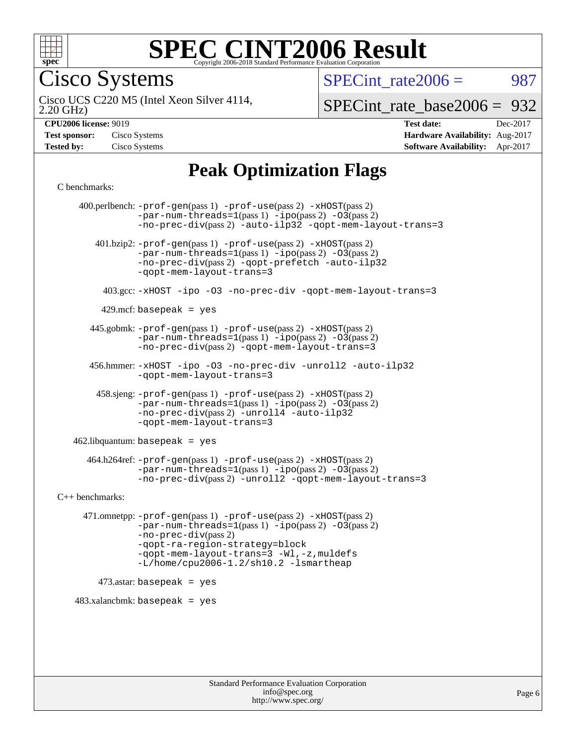

Cisco Systems

SPECint rate $2006 = 987$ 

2.20 GHz) Cisco UCS C220 M5 (Intel Xeon Silver 4114,

[SPECint\\_rate\\_base2006 =](http://www.spec.org/auto/cpu2006/Docs/result-fields.html#SPECintratebase2006) 932

| <b>Test sponsor:</b> | Cisco Systems |
|----------------------|---------------|
| <b>Tested by:</b>    | Cisco Systems |

**[CPU2006 license:](http://www.spec.org/auto/cpu2006/Docs/result-fields.html#CPU2006license)** 9019 **[Test date:](http://www.spec.org/auto/cpu2006/Docs/result-fields.html#Testdate)** Dec-2017 **[Hardware Availability:](http://www.spec.org/auto/cpu2006/Docs/result-fields.html#HardwareAvailability)** Aug-2017 **[Software Availability:](http://www.spec.org/auto/cpu2006/Docs/result-fields.html#SoftwareAvailability)** Apr-2017

## **[Peak Optimization Flags](http://www.spec.org/auto/cpu2006/Docs/result-fields.html#PeakOptimizationFlags)**

[C benchmarks](http://www.spec.org/auto/cpu2006/Docs/result-fields.html#Cbenchmarks):

 400.perlbench: [-prof-gen](http://www.spec.org/cpu2006/results/res2017q4/cpu2006-20171211-51012.flags.html#user_peakPASS1_CFLAGSPASS1_LDCFLAGS400_perlbench_prof_gen_e43856698f6ca7b7e442dfd80e94a8fc)(pass 1) [-prof-use](http://www.spec.org/cpu2006/results/res2017q4/cpu2006-20171211-51012.flags.html#user_peakPASS2_CFLAGSPASS2_LDCFLAGS400_perlbench_prof_use_bccf7792157ff70d64e32fe3e1250b55)(pass 2) [-xHOST](http://www.spec.org/cpu2006/results/res2017q4/cpu2006-20171211-51012.flags.html#user_peakPASS2_CFLAGSPASS2_LDCFLAGS400_perlbench_f-xHost_e62ac3e528d1159ebbc7507f5617393f)(pass 2)  $-par-num-threads=1(pass 1) -ipo(pass 2) -O3(pass 2)$  $-par-num-threads=1(pass 1) -ipo(pass 2) -O3(pass 2)$  $-par-num-threads=1(pass 1) -ipo(pass 2) -O3(pass 2)$  $-par-num-threads=1(pass 1) -ipo(pass 2) -O3(pass 2)$  $-par-num-threads=1(pass 1) -ipo(pass 2) -O3(pass 2)$  $-par-num-threads=1(pass 1) -ipo(pass 2) -O3(pass 2)$ [-no-prec-div](http://www.spec.org/cpu2006/results/res2017q4/cpu2006-20171211-51012.flags.html#user_peakPASS2_CFLAGSPASS2_LDCFLAGS400_perlbench_f-no-prec-div)(pass 2) [-auto-ilp32](http://www.spec.org/cpu2006/results/res2017q4/cpu2006-20171211-51012.flags.html#user_peakCOPTIMIZE400_perlbench_f-auto-ilp32) [-qopt-mem-layout-trans=3](http://www.spec.org/cpu2006/results/res2017q4/cpu2006-20171211-51012.flags.html#user_peakCOPTIMIZE400_perlbench_f-qopt-mem-layout-trans_170f5be61cd2cedc9b54468c59262d5d) 401.bzip2: [-prof-gen](http://www.spec.org/cpu2006/results/res2017q4/cpu2006-20171211-51012.flags.html#user_peakPASS1_CFLAGSPASS1_LDCFLAGS401_bzip2_prof_gen_e43856698f6ca7b7e442dfd80e94a8fc)(pass 1) [-prof-use](http://www.spec.org/cpu2006/results/res2017q4/cpu2006-20171211-51012.flags.html#user_peakPASS2_CFLAGSPASS2_LDCFLAGS401_bzip2_prof_use_bccf7792157ff70d64e32fe3e1250b55)(pass 2) [-xHOST](http://www.spec.org/cpu2006/results/res2017q4/cpu2006-20171211-51012.flags.html#user_peakPASS2_CFLAGSPASS2_LDCFLAGS401_bzip2_f-xHost_e62ac3e528d1159ebbc7507f5617393f)(pass 2)  $-par-num-threads=1(pass 1) -ipo(pass 2) -O3(pass 2)$  $-par-num-threads=1(pass 1) -ipo(pass 2) -O3(pass 2)$  $-par-num-threads=1(pass 1) -ipo(pass 2) -O3(pass 2)$  $-par-num-threads=1(pass 1) -ipo(pass 2) -O3(pass 2)$  $-par-num-threads=1(pass 1) -ipo(pass 2) -O3(pass 2)$  $-par-num-threads=1(pass 1) -ipo(pass 2) -O3(pass 2)$ [-no-prec-div](http://www.spec.org/cpu2006/results/res2017q4/cpu2006-20171211-51012.flags.html#user_peakPASS2_CFLAGSPASS2_LDCFLAGS401_bzip2_f-no-prec-div)(pass 2) [-qopt-prefetch](http://www.spec.org/cpu2006/results/res2017q4/cpu2006-20171211-51012.flags.html#user_peakCOPTIMIZE401_bzip2_f-qopt-prefetch) [-auto-ilp32](http://www.spec.org/cpu2006/results/res2017q4/cpu2006-20171211-51012.flags.html#user_peakCOPTIMIZE401_bzip2_f-auto-ilp32) [-qopt-mem-layout-trans=3](http://www.spec.org/cpu2006/results/res2017q4/cpu2006-20171211-51012.flags.html#user_peakCOPTIMIZE401_bzip2_f-qopt-mem-layout-trans_170f5be61cd2cedc9b54468c59262d5d) 403.gcc: [-xHOST](http://www.spec.org/cpu2006/results/res2017q4/cpu2006-20171211-51012.flags.html#user_peakOPTIMIZE403_gcc_f-xHost_e62ac3e528d1159ebbc7507f5617393f) [-ipo](http://www.spec.org/cpu2006/results/res2017q4/cpu2006-20171211-51012.flags.html#user_peakOPTIMIZE403_gcc_f-ipo) [-O3](http://www.spec.org/cpu2006/results/res2017q4/cpu2006-20171211-51012.flags.html#user_peakOPTIMIZE403_gcc_f-O3) [-no-prec-div](http://www.spec.org/cpu2006/results/res2017q4/cpu2006-20171211-51012.flags.html#user_peakOPTIMIZE403_gcc_f-no-prec-div) [-qopt-mem-layout-trans=3](http://www.spec.org/cpu2006/results/res2017q4/cpu2006-20171211-51012.flags.html#user_peakCOPTIMIZE403_gcc_f-qopt-mem-layout-trans_170f5be61cd2cedc9b54468c59262d5d)  $429$ .mcf: basepeak = yes 445.gobmk: [-prof-gen](http://www.spec.org/cpu2006/results/res2017q4/cpu2006-20171211-51012.flags.html#user_peakPASS1_CFLAGSPASS1_LDCFLAGS445_gobmk_prof_gen_e43856698f6ca7b7e442dfd80e94a8fc)(pass 1) [-prof-use](http://www.spec.org/cpu2006/results/res2017q4/cpu2006-20171211-51012.flags.html#user_peakPASS2_CFLAGSPASS2_LDCFLAGSPASS2_LDFLAGS445_gobmk_prof_use_bccf7792157ff70d64e32fe3e1250b55)(pass 2) [-xHOST](http://www.spec.org/cpu2006/results/res2017q4/cpu2006-20171211-51012.flags.html#user_peakPASS2_CFLAGSPASS2_LDCFLAGSPASS2_LDFLAGS445_gobmk_f-xHost_e62ac3e528d1159ebbc7507f5617393f)(pass 2)  $-par-num-threads=1(pass 1) -ipo(pass 2) -O3(pass 2)$  $-par-num-threads=1(pass 1) -ipo(pass 2) -O3(pass 2)$  $-par-num-threads=1(pass 1) -ipo(pass 2) -O3(pass 2)$  $-par-num-threads=1(pass 1) -ipo(pass 2) -O3(pass 2)$  $-par-num-threads=1(pass 1) -ipo(pass 2) -O3(pass 2)$  $-par-num-threads=1(pass 1) -ipo(pass 2) -O3(pass 2)$ [-no-prec-div](http://www.spec.org/cpu2006/results/res2017q4/cpu2006-20171211-51012.flags.html#user_peakPASS2_LDCFLAGS445_gobmk_f-no-prec-div)(pass 2) [-qopt-mem-layout-trans=3](http://www.spec.org/cpu2006/results/res2017q4/cpu2006-20171211-51012.flags.html#user_peakCOPTIMIZE445_gobmk_f-qopt-mem-layout-trans_170f5be61cd2cedc9b54468c59262d5d) 456.hmmer: [-xHOST](http://www.spec.org/cpu2006/results/res2017q4/cpu2006-20171211-51012.flags.html#user_peakOPTIMIZE456_hmmer_f-xHost_e62ac3e528d1159ebbc7507f5617393f) [-ipo](http://www.spec.org/cpu2006/results/res2017q4/cpu2006-20171211-51012.flags.html#user_peakOPTIMIZE456_hmmer_f-ipo) [-O3](http://www.spec.org/cpu2006/results/res2017q4/cpu2006-20171211-51012.flags.html#user_peakOPTIMIZE456_hmmer_f-O3) [-no-prec-div](http://www.spec.org/cpu2006/results/res2017q4/cpu2006-20171211-51012.flags.html#user_peakOPTIMIZE456_hmmer_f-no-prec-div) [-unroll2](http://www.spec.org/cpu2006/results/res2017q4/cpu2006-20171211-51012.flags.html#user_peakCOPTIMIZE456_hmmer_f-unroll_784dae83bebfb236979b41d2422d7ec2) [-auto-ilp32](http://www.spec.org/cpu2006/results/res2017q4/cpu2006-20171211-51012.flags.html#user_peakCOPTIMIZE456_hmmer_f-auto-ilp32) [-qopt-mem-layout-trans=3](http://www.spec.org/cpu2006/results/res2017q4/cpu2006-20171211-51012.flags.html#user_peakCOPTIMIZE456_hmmer_f-qopt-mem-layout-trans_170f5be61cd2cedc9b54468c59262d5d) 458.sjeng: [-prof-gen](http://www.spec.org/cpu2006/results/res2017q4/cpu2006-20171211-51012.flags.html#user_peakPASS1_CFLAGSPASS1_LDCFLAGS458_sjeng_prof_gen_e43856698f6ca7b7e442dfd80e94a8fc)(pass 1) [-prof-use](http://www.spec.org/cpu2006/results/res2017q4/cpu2006-20171211-51012.flags.html#user_peakPASS2_CFLAGSPASS2_LDCFLAGS458_sjeng_prof_use_bccf7792157ff70d64e32fe3e1250b55)(pass 2) [-xHOST](http://www.spec.org/cpu2006/results/res2017q4/cpu2006-20171211-51012.flags.html#user_peakPASS2_CFLAGSPASS2_LDCFLAGS458_sjeng_f-xHost_e62ac3e528d1159ebbc7507f5617393f)(pass 2)  $-par-num-threads=1(pass 1) -ipo(pass 2) -O3(pass 2)$  $-par-num-threads=1(pass 1) -ipo(pass 2) -O3(pass 2)$  $-par-num-threads=1(pass 1) -ipo(pass 2) -O3(pass 2)$  $-par-num-threads=1(pass 1) -ipo(pass 2) -O3(pass 2)$  $-par-num-threads=1(pass 1) -ipo(pass 2) -O3(pass 2)$  $-par-num-threads=1(pass 1) -ipo(pass 2) -O3(pass 2)$ [-no-prec-div](http://www.spec.org/cpu2006/results/res2017q4/cpu2006-20171211-51012.flags.html#user_peakPASS2_CFLAGSPASS2_LDCFLAGS458_sjeng_f-no-prec-div)(pass 2) [-unroll4](http://www.spec.org/cpu2006/results/res2017q4/cpu2006-20171211-51012.flags.html#user_peakCOPTIMIZE458_sjeng_f-unroll_4e5e4ed65b7fd20bdcd365bec371b81f) [-auto-ilp32](http://www.spec.org/cpu2006/results/res2017q4/cpu2006-20171211-51012.flags.html#user_peakCOPTIMIZE458_sjeng_f-auto-ilp32) [-qopt-mem-layout-trans=3](http://www.spec.org/cpu2006/results/res2017q4/cpu2006-20171211-51012.flags.html#user_peakCOPTIMIZE458_sjeng_f-qopt-mem-layout-trans_170f5be61cd2cedc9b54468c59262d5d)  $462$ .libquantum: basepeak = yes 464.h264ref: [-prof-gen](http://www.spec.org/cpu2006/results/res2017q4/cpu2006-20171211-51012.flags.html#user_peakPASS1_CFLAGSPASS1_LDCFLAGS464_h264ref_prof_gen_e43856698f6ca7b7e442dfd80e94a8fc)(pass 1) [-prof-use](http://www.spec.org/cpu2006/results/res2017q4/cpu2006-20171211-51012.flags.html#user_peakPASS2_CFLAGSPASS2_LDCFLAGS464_h264ref_prof_use_bccf7792157ff70d64e32fe3e1250b55)(pass 2) [-xHOST](http://www.spec.org/cpu2006/results/res2017q4/cpu2006-20171211-51012.flags.html#user_peakPASS2_CFLAGSPASS2_LDCFLAGS464_h264ref_f-xHost_e62ac3e528d1159ebbc7507f5617393f)(pass 2)  $-par-num-threads=1(pass 1) -ipo(pass 2) -O3(pass 2)$  $-par-num-threads=1(pass 1) -ipo(pass 2) -O3(pass 2)$  $-par-num-threads=1(pass 1) -ipo(pass 2) -O3(pass 2)$  $-par-num-threads=1(pass 1) -ipo(pass 2) -O3(pass 2)$  $-par-num-threads=1(pass 1) -ipo(pass 2) -O3(pass 2)$  $-par-num-threads=1(pass 1) -ipo(pass 2) -O3(pass 2)$ [-no-prec-div](http://www.spec.org/cpu2006/results/res2017q4/cpu2006-20171211-51012.flags.html#user_peakPASS2_CFLAGSPASS2_LDCFLAGS464_h264ref_f-no-prec-div)(pass 2) [-unroll2](http://www.spec.org/cpu2006/results/res2017q4/cpu2006-20171211-51012.flags.html#user_peakCOPTIMIZE464_h264ref_f-unroll_784dae83bebfb236979b41d2422d7ec2) [-qopt-mem-layout-trans=3](http://www.spec.org/cpu2006/results/res2017q4/cpu2006-20171211-51012.flags.html#user_peakCOPTIMIZE464_h264ref_f-qopt-mem-layout-trans_170f5be61cd2cedc9b54468c59262d5d) [C++ benchmarks:](http://www.spec.org/auto/cpu2006/Docs/result-fields.html#CXXbenchmarks) 471.omnetpp: [-prof-gen](http://www.spec.org/cpu2006/results/res2017q4/cpu2006-20171211-51012.flags.html#user_peakPASS1_CXXFLAGSPASS1_LDCXXFLAGS471_omnetpp_prof_gen_e43856698f6ca7b7e442dfd80e94a8fc)(pass 1) [-prof-use](http://www.spec.org/cpu2006/results/res2017q4/cpu2006-20171211-51012.flags.html#user_peakPASS2_CXXFLAGSPASS2_LDCXXFLAGS471_omnetpp_prof_use_bccf7792157ff70d64e32fe3e1250b55)(pass 2) [-xHOST](http://www.spec.org/cpu2006/results/res2017q4/cpu2006-20171211-51012.flags.html#user_peakPASS2_CXXFLAGSPASS2_LDCXXFLAGS471_omnetpp_f-xHost_e62ac3e528d1159ebbc7507f5617393f)(pass 2)  $-par-num-threads=1(pass 1) -ipo(pass 2) -O3(pass 2)$  $-par-num-threads=1(pass 1) -ipo(pass 2) -O3(pass 2)$  $-par-num-threads=1(pass 1) -ipo(pass 2) -O3(pass 2)$  $-par-num-threads=1(pass 1) -ipo(pass 2) -O3(pass 2)$  $-par-num-threads=1(pass 1) -ipo(pass 2) -O3(pass 2)$  $-par-num-threads=1(pass 1) -ipo(pass 2) -O3(pass 2)$ [-no-prec-div](http://www.spec.org/cpu2006/results/res2017q4/cpu2006-20171211-51012.flags.html#user_peakPASS2_CXXFLAGSPASS2_LDCXXFLAGS471_omnetpp_f-no-prec-div)(pass 2) [-qopt-ra-region-strategy=block](http://www.spec.org/cpu2006/results/res2017q4/cpu2006-20171211-51012.flags.html#user_peakCXXOPTIMIZE471_omnetpp_f-qopt-ra-region-strategy_430aa8f7c220cbde92ae827fa8d9be32)  [-qopt-mem-layout-trans=3](http://www.spec.org/cpu2006/results/res2017q4/cpu2006-20171211-51012.flags.html#user_peakCXXOPTIMIZE471_omnetpp_f-qopt-mem-layout-trans_170f5be61cd2cedc9b54468c59262d5d) [-Wl,-z,muldefs](http://www.spec.org/cpu2006/results/res2017q4/cpu2006-20171211-51012.flags.html#user_peakEXTRA_LDFLAGS471_omnetpp_link_force_multiple1_74079c344b956b9658436fd1b6dd3a8a) [-L/home/cpu2006-1.2/sh10.2 -lsmartheap](http://www.spec.org/cpu2006/results/res2017q4/cpu2006-20171211-51012.flags.html#user_peakEXTRA_LIBS471_omnetpp_SmartHeap_5706a66a2f6a219cbb238ac92a73101d)  $473$ .astar: basepeak = yes  $483.xalanchmk: basepeak = yes$